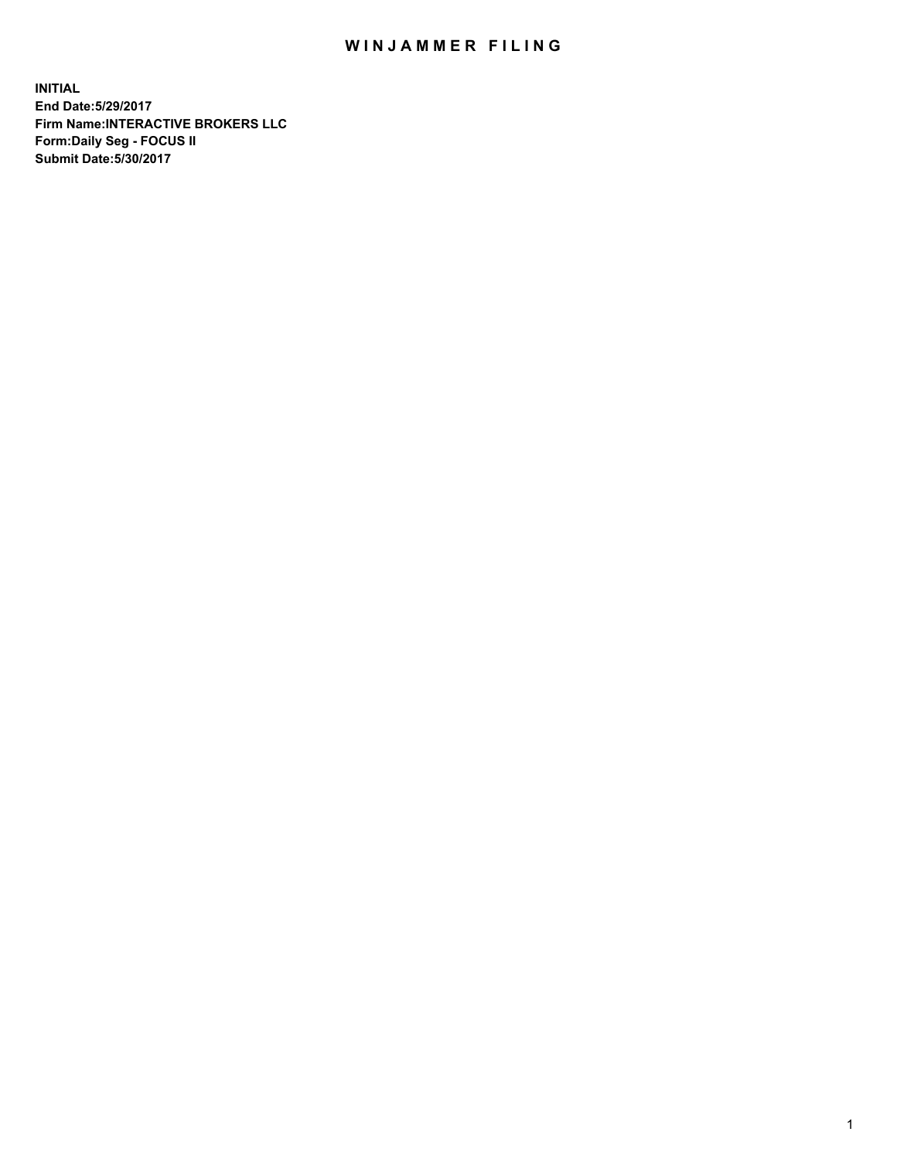## WIN JAMMER FILING

**INITIAL End Date:5/29/2017 Firm Name:INTERACTIVE BROKERS LLC Form:Daily Seg - FOCUS II Submit Date:5/30/2017**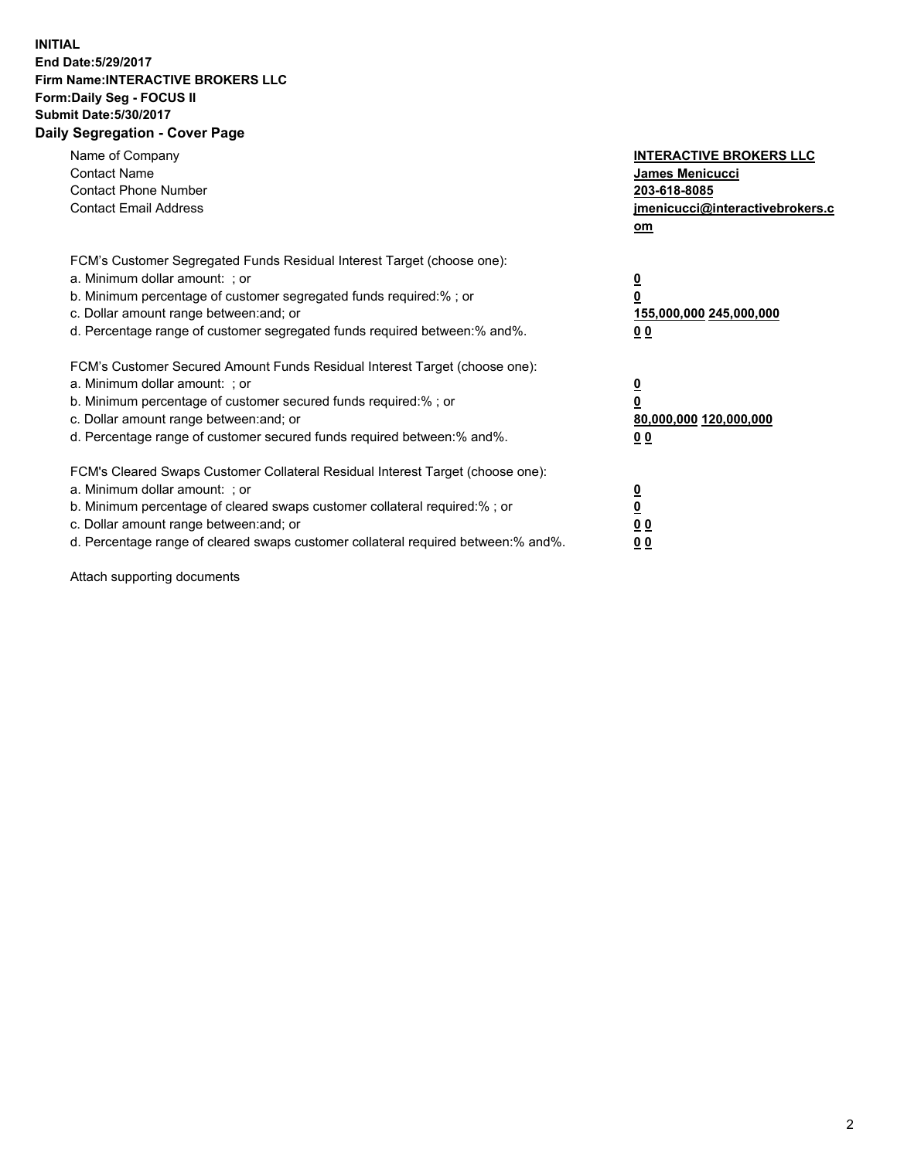## **INITIAL End Date:5/29/2017 Firm Name:INTERACTIVE BROKERS LLC Form:Daily Seg - FOCUS II Submit Date:5/30/2017 Daily Segregation - Cover Page**

| Name of Company<br><b>Contact Name</b><br><b>Contact Phone Number</b><br><b>Contact Email Address</b>                                                                                                                                                                                                                          | <b>INTERACTIVE BROKERS LLC</b><br><b>James Menicucci</b><br>203-618-8085<br>jmenicucci@interactivebrokers.c<br>om |
|--------------------------------------------------------------------------------------------------------------------------------------------------------------------------------------------------------------------------------------------------------------------------------------------------------------------------------|-------------------------------------------------------------------------------------------------------------------|
| FCM's Customer Segregated Funds Residual Interest Target (choose one):<br>a. Minimum dollar amount: ; or<br>b. Minimum percentage of customer segregated funds required:%; or<br>c. Dollar amount range between: and; or<br>d. Percentage range of customer segregated funds required between:% and%.                          | $\overline{\mathbf{0}}$<br>0<br>155,000,000 245,000,000<br>0 <sub>0</sub>                                         |
| FCM's Customer Secured Amount Funds Residual Interest Target (choose one):<br>a. Minimum dollar amount: ; or<br>b. Minimum percentage of customer secured funds required:%; or<br>c. Dollar amount range between: and; or<br>d. Percentage range of customer secured funds required between: % and %.                          | $\overline{\mathbf{0}}$<br>0<br>80,000,000 120,000,000<br>00                                                      |
| FCM's Cleared Swaps Customer Collateral Residual Interest Target (choose one):<br>a. Minimum dollar amount: ; or<br>b. Minimum percentage of cleared swaps customer collateral required:% ; or<br>c. Dollar amount range between: and; or<br>d. Percentage range of cleared swaps customer collateral required between:% and%. | $\overline{\mathbf{0}}$<br>$\overline{\mathbf{0}}$<br>0 <sub>0</sub><br><u>00</u>                                 |

Attach supporting documents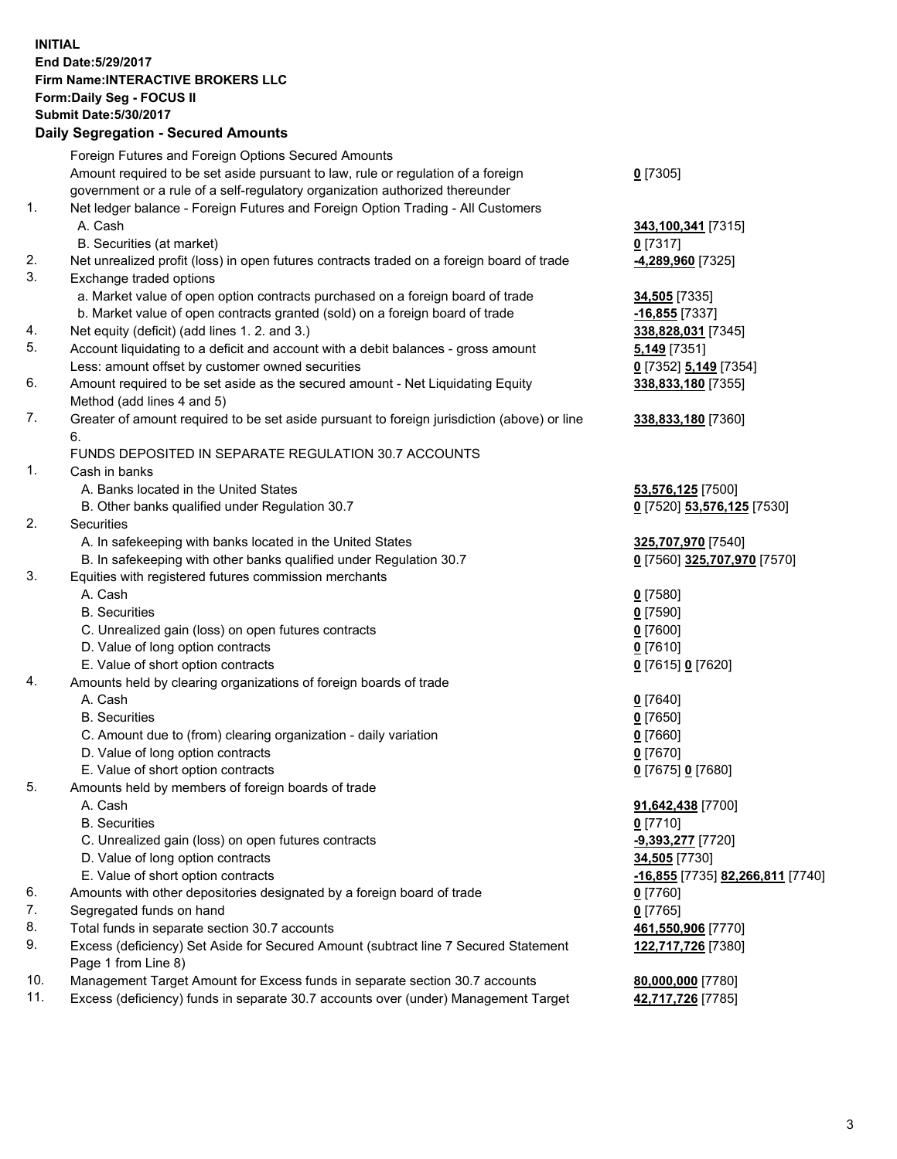## **INITIAL End Date:5/29/2017 Firm Name:INTERACTIVE BROKERS LLC Form:Daily Seg - FOCUS II Submit Date:5/30/2017 Daily Segregation - Secured Amounts**

|          | Daily Segregation - Secured Amounts                                                                                                                            |                                  |
|----------|----------------------------------------------------------------------------------------------------------------------------------------------------------------|----------------------------------|
|          | Foreign Futures and Foreign Options Secured Amounts                                                                                                            |                                  |
|          | Amount required to be set aside pursuant to law, rule or regulation of a foreign                                                                               | $0$ [7305]                       |
|          | government or a rule of a self-regulatory organization authorized thereunder                                                                                   |                                  |
| 1.       | Net ledger balance - Foreign Futures and Foreign Option Trading - All Customers                                                                                |                                  |
|          | A. Cash                                                                                                                                                        | 343,100,341 [7315]               |
|          | B. Securities (at market)                                                                                                                                      | $0$ [7317]                       |
| 2.       | Net unrealized profit (loss) in open futures contracts traded on a foreign board of trade                                                                      | -4,289,960 [7325]                |
| 3.       | Exchange traded options                                                                                                                                        |                                  |
|          |                                                                                                                                                                |                                  |
|          | a. Market value of open option contracts purchased on a foreign board of trade<br>b. Market value of open contracts granted (sold) on a foreign board of trade | 34,505 [7335]                    |
|          |                                                                                                                                                                | $-16,855$ [7337]                 |
| 4.<br>5. | Net equity (deficit) (add lines 1. 2. and 3.)                                                                                                                  | 338,828,031 [7345]               |
|          | Account liquidating to a deficit and account with a debit balances - gross amount                                                                              | $5,149$ [7351]                   |
|          | Less: amount offset by customer owned securities                                                                                                               | 0 [7352] 5,149 [7354]            |
| 6.       | Amount required to be set aside as the secured amount - Net Liquidating Equity                                                                                 | 338,833,180 [7355]               |
|          | Method (add lines 4 and 5)                                                                                                                                     |                                  |
| 7.       | Greater of amount required to be set aside pursuant to foreign jurisdiction (above) or line                                                                    | 338,833,180 [7360]               |
|          | 6.                                                                                                                                                             |                                  |
|          | FUNDS DEPOSITED IN SEPARATE REGULATION 30.7 ACCOUNTS                                                                                                           |                                  |
| 1.       | Cash in banks                                                                                                                                                  |                                  |
|          | A. Banks located in the United States                                                                                                                          | 53,576,125 [7500]                |
|          | B. Other banks qualified under Regulation 30.7                                                                                                                 | 0 [7520] 53,576,125 [7530]       |
| 2.       | Securities                                                                                                                                                     |                                  |
|          | A. In safekeeping with banks located in the United States                                                                                                      | 325,707,970 [7540]               |
|          | B. In safekeeping with other banks qualified under Regulation 30.7                                                                                             | 0 [7560] 325,707,970 [7570]      |
| 3.       | Equities with registered futures commission merchants                                                                                                          |                                  |
|          | A. Cash                                                                                                                                                        | $0$ [7580]                       |
|          | <b>B.</b> Securities                                                                                                                                           | $0$ [7590]                       |
|          | C. Unrealized gain (loss) on open futures contracts                                                                                                            | $0$ [7600]                       |
|          | D. Value of long option contracts                                                                                                                              | $0$ [7610]                       |
|          | E. Value of short option contracts                                                                                                                             | 0 [7615] 0 [7620]                |
| 4.       | Amounts held by clearing organizations of foreign boards of trade                                                                                              |                                  |
|          | A. Cash                                                                                                                                                        | $0$ [7640]                       |
|          | <b>B.</b> Securities                                                                                                                                           | $0$ [7650]                       |
|          | C. Amount due to (from) clearing organization - daily variation                                                                                                | $0$ [7660]                       |
|          | D. Value of long option contracts                                                                                                                              | $0$ [7670]                       |
|          | E. Value of short option contracts                                                                                                                             | 0 [7675] 0 [7680]                |
| 5.       | Amounts held by members of foreign boards of trade                                                                                                             |                                  |
|          | A. Cash                                                                                                                                                        | 91,642,438 [7700]                |
|          | <b>B.</b> Securities                                                                                                                                           | $0$ [7710]                       |
|          | C. Unrealized gain (loss) on open futures contracts                                                                                                            | <u>-9,393,277</u> [7720]         |
|          | D. Value of long option contracts                                                                                                                              | 34,505 [7730]                    |
|          | E. Value of short option contracts                                                                                                                             | -16,855 [7735] 82,266,811 [7740] |
| 6.       | Amounts with other depositories designated by a foreign board of trade                                                                                         | 0 [7760]                         |
| 7.       | Segregated funds on hand                                                                                                                                       | $0$ [7765]                       |
| 8.       | Total funds in separate section 30.7 accounts                                                                                                                  | 461,550,906 [7770]               |
| 9.       | Excess (deficiency) Set Aside for Secured Amount (subtract line 7 Secured Statement                                                                            | 122,717,726 [7380]               |
|          | Page 1 from Line 8)                                                                                                                                            |                                  |
| 10.      | Management Target Amount for Excess funds in separate section 30.7 accounts                                                                                    | 80,000,000 [7780]                |
| 11.      | Excess (deficiency) funds in separate 30.7 accounts over (under) Management Target                                                                             | 42,717,726 [7785]                |
|          |                                                                                                                                                                |                                  |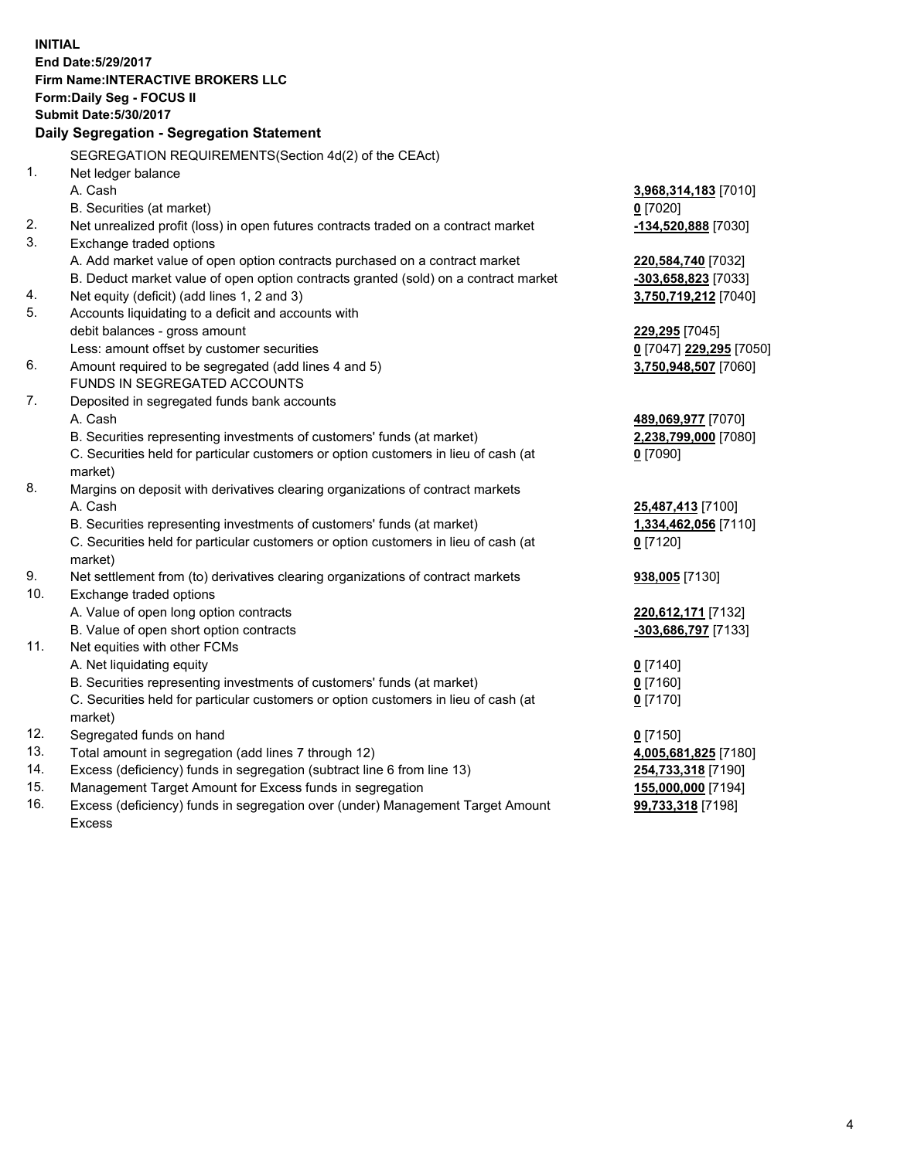**INITIAL End Date:5/29/2017 Firm Name:INTERACTIVE BROKERS LLC Form:Daily Seg - FOCUS II Submit Date:5/30/2017 Daily Segregation - Segregation Statement** SEGREGATION REQUIREMENTS(Section 4d(2) of the CEAct) 1. Net ledger balance A. Cash **3,968,314,183** [7010] B. Securities (at market) **0** [7020] 2. Net unrealized profit (loss) in open futures contracts traded on a contract market **-134,520,888** [7030] 3. Exchange traded options A. Add market value of open option contracts purchased on a contract market **220,584,740** [7032] B. Deduct market value of open option contracts granted (sold) on a contract market **-303,658,823** [7033] 4. Net equity (deficit) (add lines 1, 2 and 3) **3,750,719,212** [7040] 5. Accounts liquidating to a deficit and accounts with debit balances - gross amount **229,295** [7045] Less: amount offset by customer securities **0** [7047] **229,295** [7050] 6. Amount required to be segregated (add lines 4 and 5) **3,750,948,507** [7060] FUNDS IN SEGREGATED ACCOUNTS 7. Deposited in segregated funds bank accounts A. Cash **489,069,977** [7070] B. Securities representing investments of customers' funds (at market) **2,238,799,000** [7080] C. Securities held for particular customers or option customers in lieu of cash (at market) **0** [7090] 8. Margins on deposit with derivatives clearing organizations of contract markets A. Cash **25,487,413** [7100] B. Securities representing investments of customers' funds (at market) **1,334,462,056** [7110] C. Securities held for particular customers or option customers in lieu of cash (at market) **0** [7120] 9. Net settlement from (to) derivatives clearing organizations of contract markets **938,005** [7130] 10. Exchange traded options A. Value of open long option contracts **220,612,171** [7132] B. Value of open short option contracts **-303,686,797** [7133] 11. Net equities with other FCMs A. Net liquidating equity **0** [7140] B. Securities representing investments of customers' funds (at market) **0** [7160] C. Securities held for particular customers or option customers in lieu of cash (at market) **0** [7170] 12. Segregated funds on hand **0** [7150] 13. Total amount in segregation (add lines 7 through 12) **4,005,681,825** [7180] 14. Excess (deficiency) funds in segregation (subtract line 6 from line 13) **254,733,318** [7190] 15. Management Target Amount for Excess funds in segregation **155,000,000** [7194] **99,733,318** [7198]

16. Excess (deficiency) funds in segregation over (under) Management Target Amount Excess